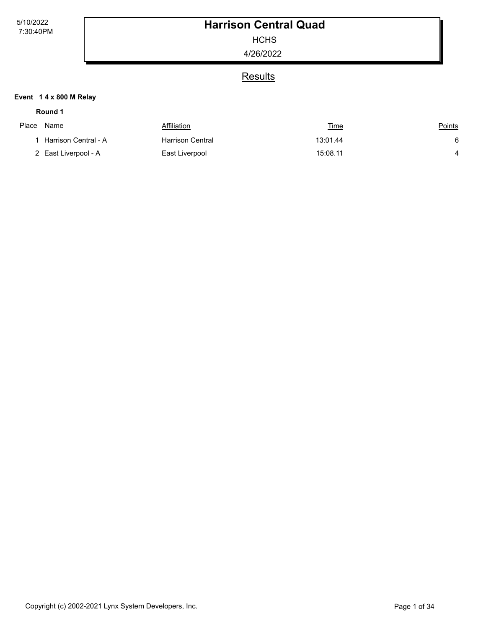**HCHS** 

4/26/2022

## **Results**

#### **Event 1 4 x 800 M Relay**

#### **Round 1**

| Place | Name                     | Affiliation             | <u>Time</u> | <u>Points</u> |
|-------|--------------------------|-------------------------|-------------|---------------|
|       | 1   Harrison Central - A | <b>Harrison Central</b> | 13:01.44    | 6             |
|       | 2 East Liverpool - A     | East Liverpool          | 15:08.11    |               |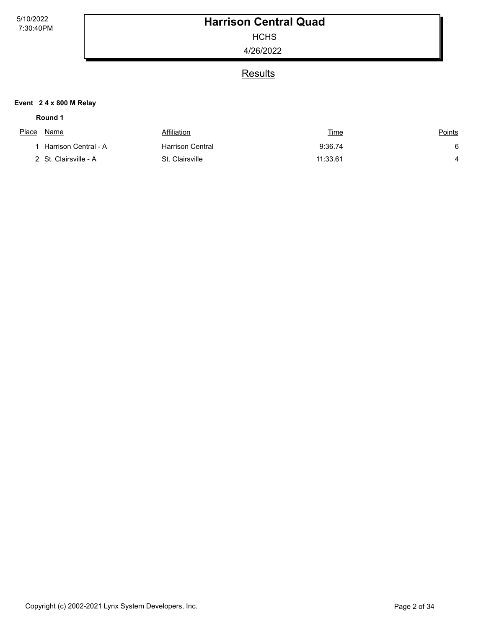**HCHS** 

4/26/2022

### **Results**

#### **Event 2 4 x 800 M Relay**

#### **Round 1**

| <u>Place</u> | Name                  | Affiliation      | <u>Time</u> | <u>Points</u> |
|--------------|-----------------------|------------------|-------------|---------------|
|              | Harrison Central - A  | Harrison Central | 9:36.74     | 6             |
|              | 2 St. Clairsville - A | St. Clairsville  | 11:33.61    |               |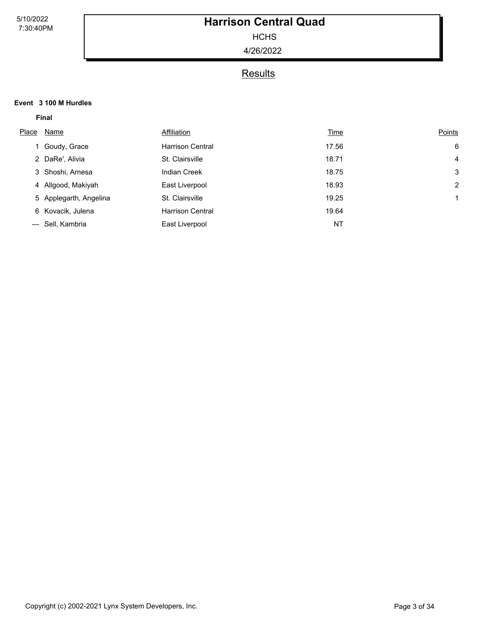**HCHS** 

4/26/2022

### **Results**

#### **Event 3 100 M Hurdles**

| Place | Name                   | Affiliation             | <b>Time</b> | Points         |
|-------|------------------------|-------------------------|-------------|----------------|
|       | 1 Goudy, Grace         | <b>Harrison Central</b> | 17.56       | 6              |
|       | 2 DaRe', Alivia        | St. Clairsville         | 18.71       | 4              |
|       | 3 Shoshi, Arnesa       | <b>Indian Creek</b>     | 18.75       | 3              |
|       | 4 Allgood, Makiyah     | East Liverpool          | 18.93       | $\overline{2}$ |
|       | 5 Applegarth, Angelina | St. Clairsville         | 19.25       |                |
|       | 6 Kovacik, Julena      | <b>Harrison Central</b> | 19.64       |                |
|       | --- Sell, Kambria      | East Liverpool          | <b>NT</b>   |                |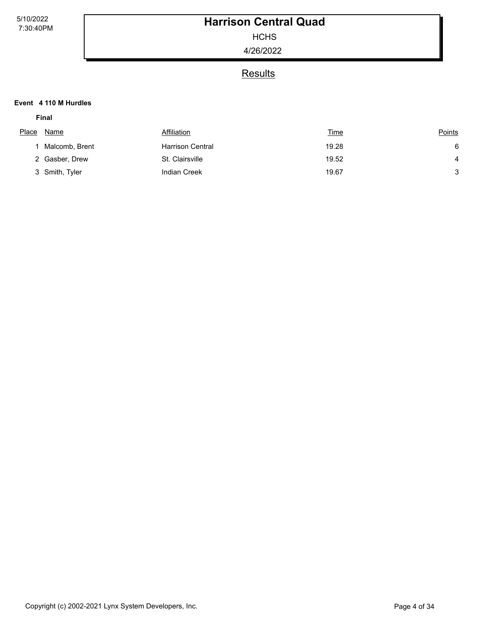**HCHS** 

4/26/2022

### **Results**

#### **Event 4 110 M Hurdles**

| Place | Name           | Affiliation             | <u>Time</u> | <b>Points</b>  |
|-------|----------------|-------------------------|-------------|----------------|
|       | Malcomb, Brent | <b>Harrison Central</b> | 19.28       | 6              |
|       | 2 Gasber, Drew | St. Clairsville         | 19.52       | $\overline{4}$ |
|       | 3 Smith, Tyler | <b>Indian Creek</b>     | 19.67       | 3              |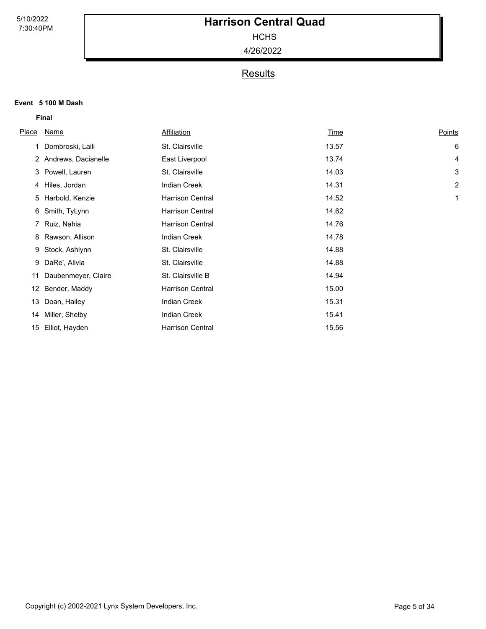**HCHS** 

4/26/2022

## **Results**

#### **Event 5 100 M Dash**

| <b>Place</b> | Name                  | <b>Affiliation</b>      | <u>Time</u> | Points         |
|--------------|-----------------------|-------------------------|-------------|----------------|
|              |                       |                         |             |                |
| 1            | Dombroski, Laili      | St. Clairsville         | 13.57       | 6              |
|              | 2 Andrews, Dacianelle | East Liverpool          | 13.74       | 4              |
|              | 3 Powell, Lauren      | St. Clairsville         | 14.03       | 3              |
|              | 4 Hiles, Jordan       | <b>Indian Creek</b>     | 14.31       | $\overline{c}$ |
|              | 5 Harbold, Kenzie     | <b>Harrison Central</b> | 14.52       | 1              |
| 6            | Smith, TyLynn         | <b>Harrison Central</b> | 14.62       |                |
|              | 7 Ruiz, Nahia         | <b>Harrison Central</b> | 14.76       |                |
| 8            | Rawson, Allison       | <b>Indian Creek</b>     | 14.78       |                |
| 9            | Stock, Ashlynn        | St. Clairsville         | 14.88       |                |
| 9            | DaRe', Alivia         | St. Clairsville         | 14.88       |                |
| 11           | Daubenmeyer, Claire   | St. Clairsville B       | 14.94       |                |
| 12           | Bender, Maddy         | <b>Harrison Central</b> | 15.00       |                |
| 13           | Doan, Hailey          | <b>Indian Creek</b>     | 15.31       |                |
|              | 14 Miller, Shelby     | <b>Indian Creek</b>     | 15.41       |                |
| 15           | Elliot, Hayden        | <b>Harrison Central</b> | 15.56       |                |
|              |                       |                         |             |                |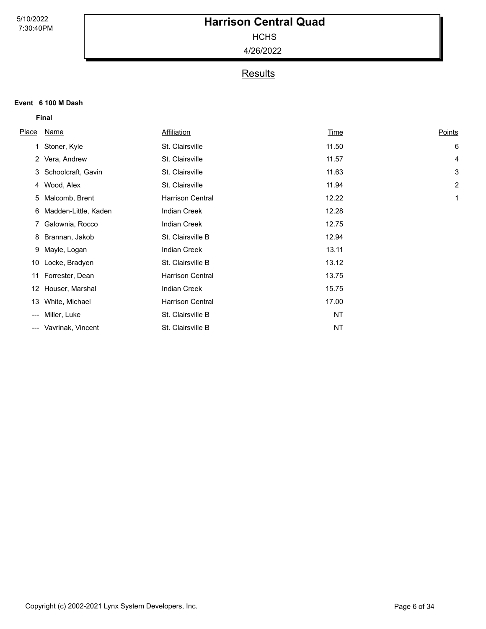**HCHS** 

4/26/2022

## **Results**

#### **Event 6 100 M Dash**

| Place | Name                 | <b>Affiliation</b>      | Time  | Points         |
|-------|----------------------|-------------------------|-------|----------------|
| 1     | Stoner, Kyle         | St. Clairsville         | 11.50 | 6              |
|       | 2 Vera, Andrew       | St. Clairsville         | 11.57 | 4              |
|       | 3 Schoolcraft, Gavin | St. Clairsville         | 11.63 | 3              |
|       | 4 Wood, Alex         | St. Clairsville         | 11.94 | $\overline{c}$ |
| 5     | Malcomb, Brent       | <b>Harrison Central</b> | 12.22 | 1              |
| 6     | Madden-Little, Kaden | <b>Indian Creek</b>     | 12.28 |                |
| 7     | Galownia, Rocco      | <b>Indian Creek</b>     | 12.75 |                |
| 8     | Brannan, Jakob       | St. Clairsville B       | 12.94 |                |
| 9     | Mayle, Logan         | <b>Indian Creek</b>     | 13.11 |                |
| 10    | Locke, Bradyen       | St. Clairsville B       | 13.12 |                |
| 11    | Forrester, Dean      | <b>Harrison Central</b> | 13.75 |                |
| 12.   | Houser, Marshal      | <b>Indian Creek</b>     | 15.75 |                |
| 13    | White, Michael       | <b>Harrison Central</b> | 17.00 |                |
| ---   | Miller, Luke         | St. Clairsville B       | NT    |                |
| ---   | Vavrinak, Vincent    | St. Clairsville B       | NT    |                |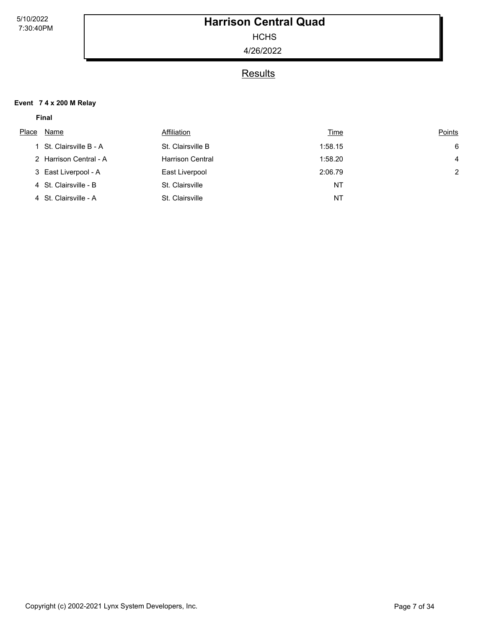**HCHS** 

4/26/2022

### **Results**

#### **Event 7 4 x 200 M Relay**

| Place | Name                    | Affiliation             | <u>Time</u> | Points         |
|-------|-------------------------|-------------------------|-------------|----------------|
|       | 1 St. Clairsville B - A | St. Clairsville B       | 1:58.15     | 6              |
|       | 2 Harrison Central - A  | <b>Harrison Central</b> | 1:58.20     | 4              |
|       | 3 East Liverpool - A    | East Liverpool          | 2:06.79     | $\overline{2}$ |
|       | 4 St. Clairsville - B   | St. Clairsville         | <b>NT</b>   |                |
|       | 4 St. Clairsville - A   | St. Clairsville         | ΝT          |                |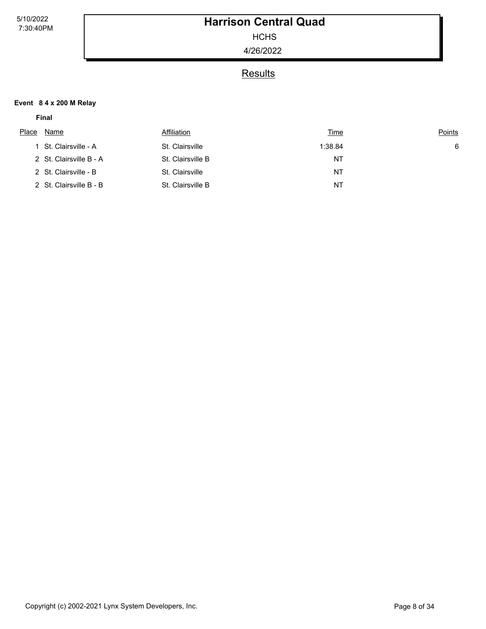**HCHS** 

4/26/2022

### **Results**

#### **Event 8 4 x 200 M Relay**

| Place | Name                    | Affiliation       | <u>Time</u> | <b>Points</b> |
|-------|-------------------------|-------------------|-------------|---------------|
|       | St. Clairsville - A     | St. Clairsville   | 1:38.84     | 6             |
|       | 2 St. Clairsville B - A | St. Clairsville B | <b>NT</b>   |               |
|       | 2 St. Clairsville - B   | St. Clairsville   | <b>NT</b>   |               |
|       | 2 St. Clairsville B - B | St. Clairsville B | <b>NT</b>   |               |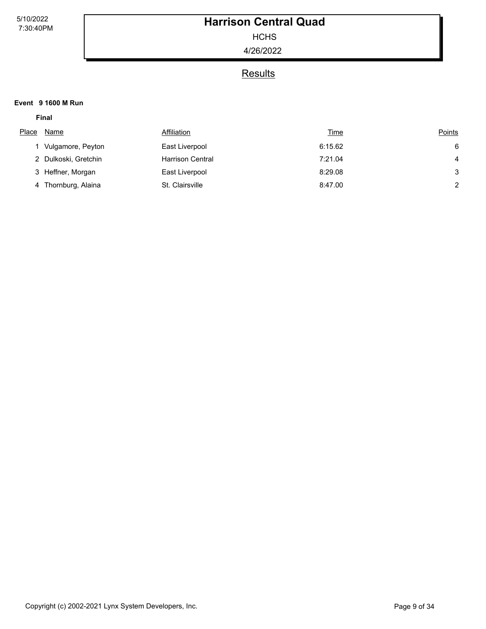**HCHS** 

4/26/2022

### **Results**

#### **Event 9 1600 M Run**

| Place | Name                 | Affiliation             | <u>Time</u> | Points         |
|-------|----------------------|-------------------------|-------------|----------------|
|       | Vulgamore, Peyton    | East Liverpool          | 6:15.62     | 6              |
|       | 2 Dulkoski, Gretchin | <b>Harrison Central</b> | 7:21.04     | $\overline{4}$ |
|       | 3 Heffner, Morgan    | East Liverpool          | 8:29.08     | 3              |
|       | 4 Thornburg, Alaina  | St. Clairsville         | 8:47.00     | $\overline{2}$ |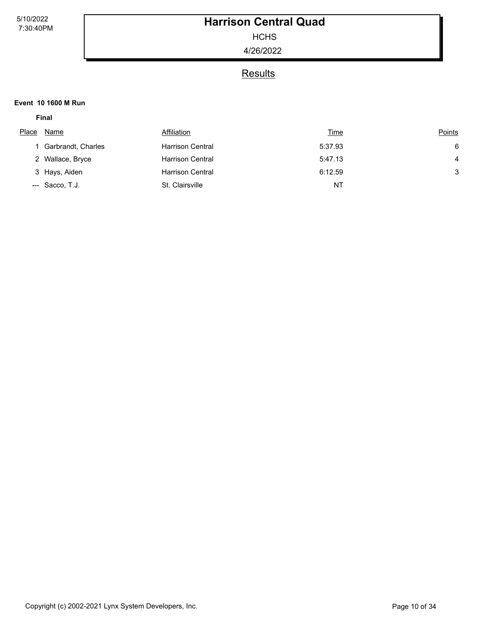**HCHS** 

4/26/2022

### **Results**

#### **Event 10 1600 M Run**

| Place | Name               | Affiliation             | <u>Time</u> | Points |
|-------|--------------------|-------------------------|-------------|--------|
|       | Garbrandt, Charles | <b>Harrison Central</b> | 5:37.93     | 6      |
|       | 2 Wallace, Bryce   | <b>Harrison Central</b> | 5:47.13     | 4      |
|       | 3 Hays, Aiden      | <b>Harrison Central</b> | 6:12.59     | 3      |
|       | --- Sacco, T.J.    | St. Clairsville         | ΝT          |        |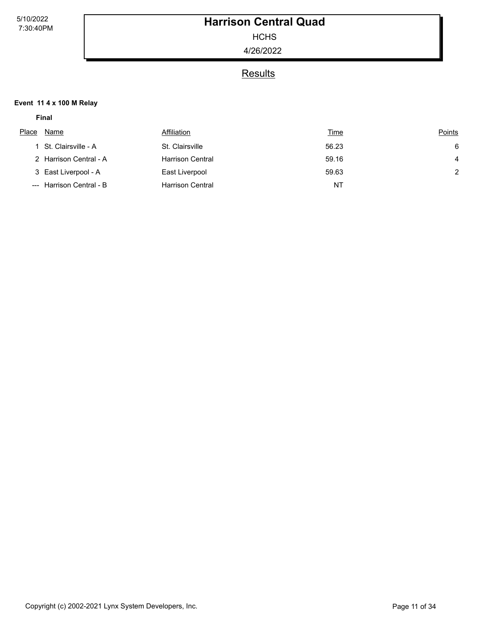**HCHS** 

4/26/2022

### **Results**

#### **Event 11 4 x 100 M Relay**

| Place | Name                     | Affiliation             | <u>Time</u> | Points        |
|-------|--------------------------|-------------------------|-------------|---------------|
|       | 1 St. Clairsville - A    | St. Clairsville         | 56.23       | 6             |
|       | 2 Harrison Central - A   | <b>Harrison Central</b> | 59.16       | 4             |
|       | 3 East Liverpool - A     | East Liverpool          | 59.63       | $\mathcal{P}$ |
|       | --- Harrison Central - B | <b>Harrison Central</b> | <b>NT</b>   |               |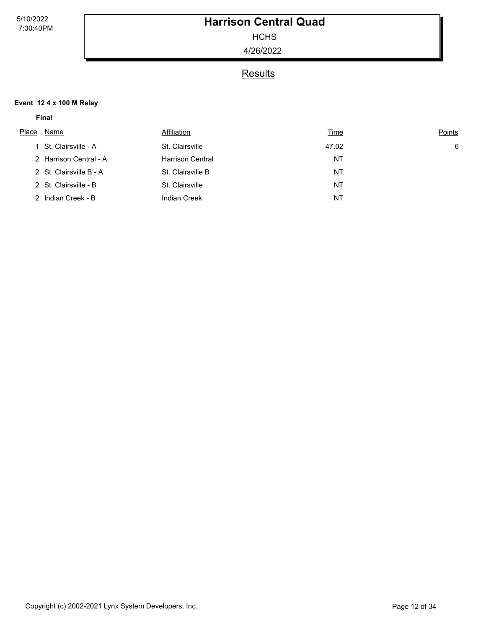**HCHS** 

4/26/2022

### **Results**

#### **Event 12 4 x 100 M Relay**

| Name | Affiliation                                                                                                               |                                                                                    | Points      |
|------|---------------------------------------------------------------------------------------------------------------------------|------------------------------------------------------------------------------------|-------------|
|      |                                                                                                                           | 47.02                                                                              | -6          |
|      |                                                                                                                           | NT                                                                                 |             |
|      |                                                                                                                           | NT                                                                                 |             |
|      |                                                                                                                           | NT                                                                                 |             |
|      | Indian Creek                                                                                                              | <b>NT</b>                                                                          |             |
|      | 1 St. Clairsville - A<br>2 Harrison Central - A<br>2 St. Clairsville B - A<br>2 St. Clairsville - B<br>2 Indian Creek - B | St. Clairsville<br><b>Harrison Central</b><br>St. Clairsville B<br>St. Clairsville | <u>Time</u> |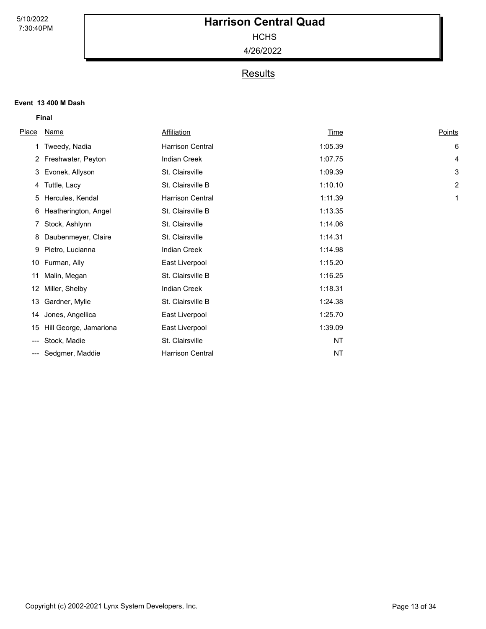**HCHS** 

4/26/2022

## **Results**

#### **Event 13 400 M Dash**

| <u>Place</u> | <b>Name</b>            | Affiliation             | <u>Time</u> | Points |
|--------------|------------------------|-------------------------|-------------|--------|
|              | Tweedy, Nadia          | <b>Harrison Central</b> | 1:05.39     | 6      |
|              | 2 Freshwater, Peyton   | <b>Indian Creek</b>     | 1:07.75     | 4      |
| 3            | Evonek, Allyson        | St. Clairsville         | 1:09.39     | 3      |
|              | 4 Tuttle, Lacy         | St. Clairsville B       | 1:10.10     | 2      |
| 5            | Hercules, Kendal       | <b>Harrison Central</b> | 1:11.39     | 1      |
| 6            | Heatherington, Angel   | St. Clairsville B       | 1:13.35     |        |
|              | 7 Stock, Ashlynn       | St. Clairsville         | 1:14.06     |        |
| 8            | Daubenmeyer, Claire    | St. Clairsville         | 1:14.31     |        |
| 9            | Pietro, Lucianna       | Indian Creek            | 1:14.98     |        |
| 10           | Furman, Ally           | East Liverpool          | 1:15.20     |        |
| 11           | Malin, Megan           | St. Clairsville B       | 1:16.25     |        |
| 12           | Miller, Shelby         | <b>Indian Creek</b>     | 1:18.31     |        |
| 13           | Gardner, Mylie         | St. Clairsville B       | 1:24.38     |        |
| 14           | Jones, Angellica       | East Liverpool          | 1:25.70     |        |
| 15           | Hill George, Jamariona | East Liverpool          | 1:39.09     |        |
| ---          | Stock, Madie           | St. Clairsville         | NT          |        |
| ---          | Sedgmer, Maddie        | <b>Harrison Central</b> | ΝT          |        |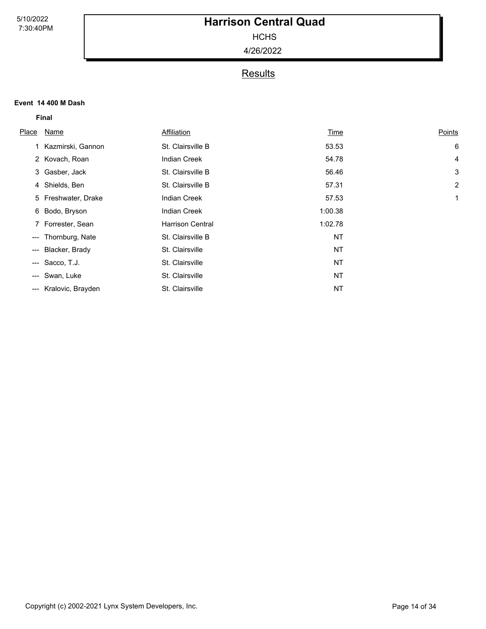**HCHS** 

4/26/2022

### **Results**

#### **Event 14 400 M Dash**

|                            | <b>Final</b>        |                         |         |                |  |
|----------------------------|---------------------|-------------------------|---------|----------------|--|
| Place                      | Name                | Affiliation             | Time    | Points         |  |
|                            | 1 Kazmirski, Gannon | St. Clairsville B       | 53.53   | 6              |  |
|                            | 2 Kovach, Roan      | <b>Indian Creek</b>     | 54.78   | 4              |  |
|                            | 3 Gasber, Jack      | St. Clairsville B       | 56.46   | 3              |  |
|                            | 4 Shields, Ben      | St. Clairsville B       | 57.31   | $\overline{c}$ |  |
|                            | 5 Freshwater, Drake | <b>Indian Creek</b>     | 57.53   | 1              |  |
|                            | 6 Bodo, Bryson      | <b>Indian Creek</b>     | 1:00.38 |                |  |
|                            | 7 Forrester, Sean   | <b>Harrison Central</b> | 1:02.78 |                |  |
| $\qquad \qquad \text{---}$ | Thornburg, Nate     | St. Clairsville B       | NT      |                |  |
| $---$                      | Blacker, Brady      | St. Clairsville         | NT      |                |  |
|                            | --- Sacco, T.J.     | St. Clairsville         | NT      |                |  |
| $\qquad \qquad \cdots$     | Swan, Luke          | St. Clairsville         | NT      |                |  |
| $\hspace{0.05cm} \cdots$   | Kralovic, Brayden   | St. Clairsville         | NT      |                |  |
|                            |                     |                         |         |                |  |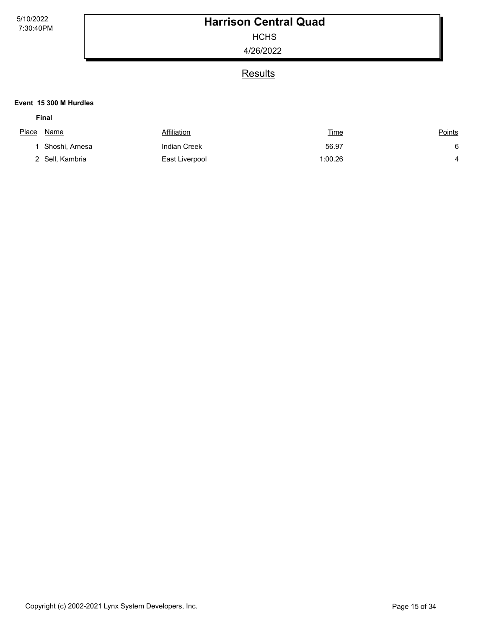**HCHS** 

4/26/2022

### **Results**

#### **Event 15 300 M Hurdles**

| Place Name |                 | Affiliation         | <u>Time</u> | <u>Points</u> |
|------------|-----------------|---------------------|-------------|---------------|
|            | Shoshi, Arnesa  | <b>Indian Creek</b> | 56.97       | 6             |
|            | 2 Sell, Kambria | East Liverpool      | 1:00.26     | 4             |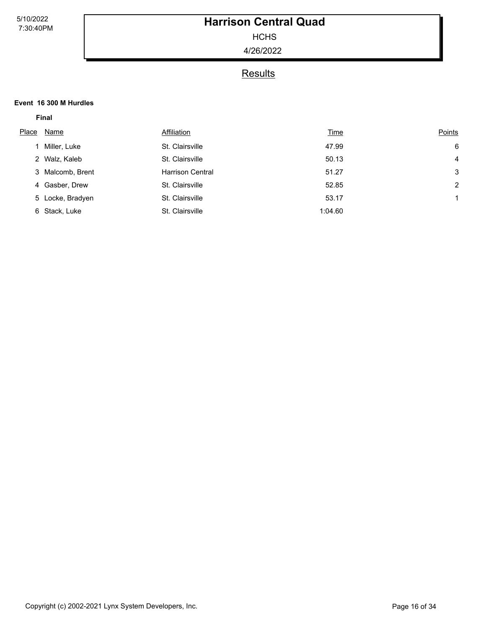**HCHS** 

4/26/2022

### **Results**

#### **Event 16 300 M Hurdles**

| Place | Name             | Affiliation             | <u>Time</u> | Points         |
|-------|------------------|-------------------------|-------------|----------------|
|       | Miller, Luke     | St. Clairsville         | 47.99       | 6              |
|       | 2 Walz, Kaleb    | St. Clairsville         | 50.13       | 4              |
|       | 3 Malcomb, Brent | <b>Harrison Central</b> | 51.27       | 3              |
|       | 4 Gasber, Drew   | St. Clairsville         | 52.85       | $\overline{2}$ |
|       | 5 Locke, Bradyen | St. Clairsville         | 53.17       |                |
|       | 6 Stack, Luke    | St. Clairsville         | 1:04.60     |                |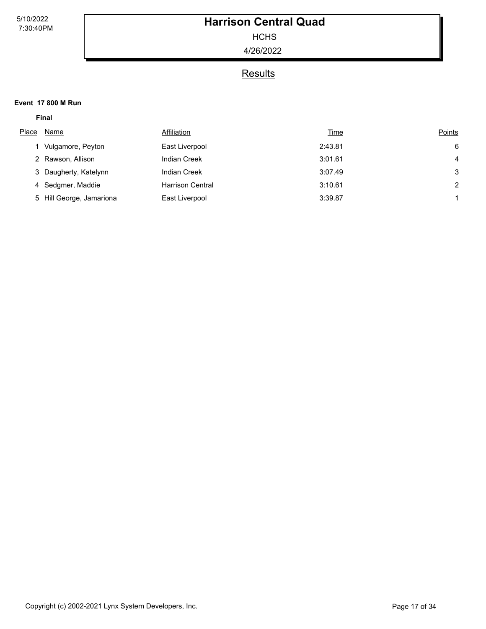**HCHS** 

4/26/2022

### **Results**

#### **Event 17 800 M Run**

|       | <b>Final</b>             |                         |             |        |
|-------|--------------------------|-------------------------|-------------|--------|
| Place | Name                     | Affiliation             | <b>Time</b> | Points |
|       | Vulgamore, Peyton        | East Liverpool          | 2:43.81     | 6      |
|       | 2 Rawson, Allison        | <b>Indian Creek</b>     | 3:01.61     | 4      |
|       | 3 Daugherty, Katelynn    | <b>Indian Creek</b>     | 3:07.49     | 3      |
|       | 4 Sedgmer, Maddie        | <b>Harrison Central</b> | 3:10.61     | 2      |
|       | 5 Hill George, Jamariona | East Liverpool          | 3:39.87     |        |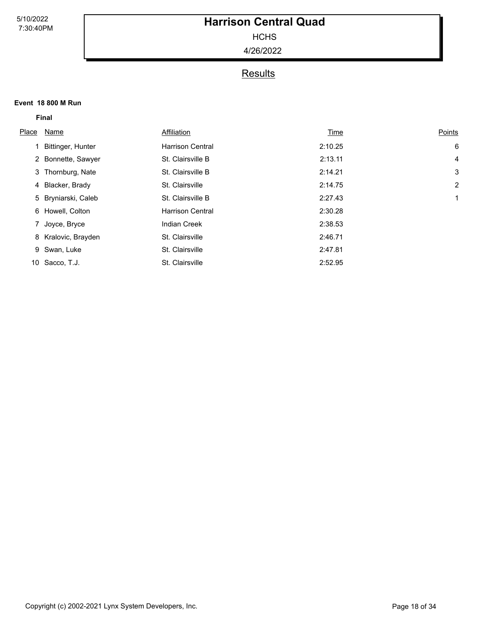**HCHS** 

4/26/2022

## **Results**

#### **Event 18 800 M Run**

|       | <b>Final</b>        |                         |         |        |  |
|-------|---------------------|-------------------------|---------|--------|--|
| Place | Name                | Affiliation             | Time    | Points |  |
|       | Bittinger, Hunter   | <b>Harrison Central</b> | 2:10.25 | 6      |  |
|       | 2 Bonnette, Sawyer  | St. Clairsville B       | 2:13.11 | 4      |  |
|       | 3 Thornburg, Nate   | St. Clairsville B       | 2:14.21 | 3      |  |
|       | 4 Blacker, Brady    | St. Clairsville         | 2:14.75 | 2      |  |
|       | 5 Bryniarski, Caleb | St. Clairsville B       | 2:27.43 | 1      |  |
|       | 6 Howell, Colton    | <b>Harrison Central</b> | 2:30.28 |        |  |
|       | 7 Joyce, Bryce      | <b>Indian Creek</b>     | 2:38.53 |        |  |
|       | 8 Kralovic, Brayden | St. Clairsville         | 2:46.71 |        |  |
|       | 9 Swan, Luke        | St. Clairsville         | 2:47.81 |        |  |
|       | 10 Sacco, T.J.      | St. Clairsville         | 2:52.95 |        |  |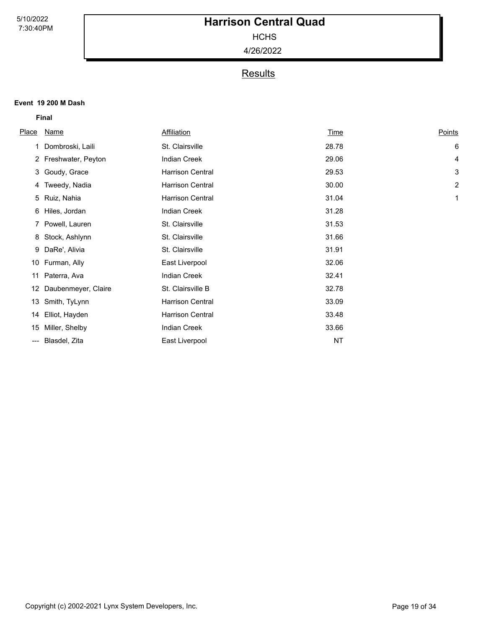**HCHS** 

4/26/2022

## **Results**

#### **Event 19 200 M Dash**

| Place | <u>Name</u>          | Affiliation             | Time  | Points |
|-------|----------------------|-------------------------|-------|--------|
|       | Dombroski, Laili     | St. Clairsville         | 28.78 | 6      |
|       | 2 Freshwater, Peyton | <b>Indian Creek</b>     | 29.06 | 4      |
|       | 3 Goudy, Grace       | <b>Harrison Central</b> | 29.53 | 3      |
|       | 4 Tweedy, Nadia      | <b>Harrison Central</b> | 30.00 | 2      |
|       | 5 Ruiz, Nahia        | <b>Harrison Central</b> | 31.04 | 1      |
|       | 6 Hiles, Jordan      | <b>Indian Creek</b>     | 31.28 |        |
|       | 7 Powell, Lauren     | St. Clairsville         | 31.53 |        |
| 8     | Stock, Ashlynn       | St. Clairsville         | 31.66 |        |
| 9     | DaRe', Alivia        | St. Clairsville         | 31.91 |        |
| 10    | Furman, Ally         | East Liverpool          | 32.06 |        |
| 11    | Paterra, Ava         | <b>Indian Creek</b>     | 32.41 |        |
| 12    | Daubenmeyer, Claire  | St. Clairsville B       | 32.78 |        |
| 13    | Smith, TyLynn        | <b>Harrison Central</b> | 33.09 |        |
| 14    | Elliot, Hayden       | <b>Harrison Central</b> | 33.48 |        |
| 15    | Miller, Shelby       | <b>Indian Creek</b>     | 33.66 |        |
| ---   | Blasdel, Zita        | East Liverpool          | NT    |        |
|       |                      |                         |       |        |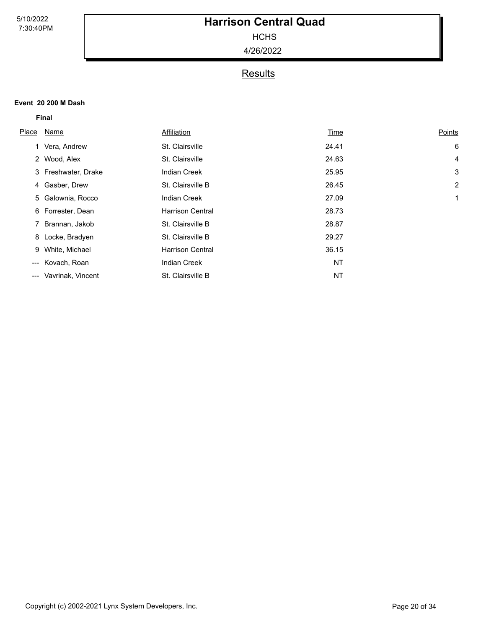**HCHS** 

4/26/2022

### **Results**

#### **Event 20 200 M Dash**

| Place                  | Name                | Affiliation             | Time  | Points |
|------------------------|---------------------|-------------------------|-------|--------|
|                        | 1 Vera, Andrew      | St. Clairsville         | 24.41 | 6      |
|                        | 2 Wood, Alex        | St. Clairsville         | 24.63 | 4      |
|                        | 3 Freshwater, Drake | <b>Indian Creek</b>     | 25.95 | 3      |
|                        | 4 Gasber, Drew      | St. Clairsville B       | 26.45 | 2      |
|                        | 5 Galownia, Rocco   | <b>Indian Creek</b>     | 27.09 | 1      |
|                        | 6 Forrester, Dean   | <b>Harrison Central</b> | 28.73 |        |
|                        | 7 Brannan, Jakob    | St. Clairsville B       | 28.87 |        |
|                        | 8 Locke, Bradyen    | St. Clairsville B       | 29.27 |        |
|                        | 9 White, Michael    | <b>Harrison Central</b> | 36.15 |        |
| $\qquad \qquad \cdots$ | Kovach, Roan        | <b>Indian Creek</b>     | NT    |        |
| $---$                  | Vavrinak, Vincent   | St. Clairsville B       | NT    |        |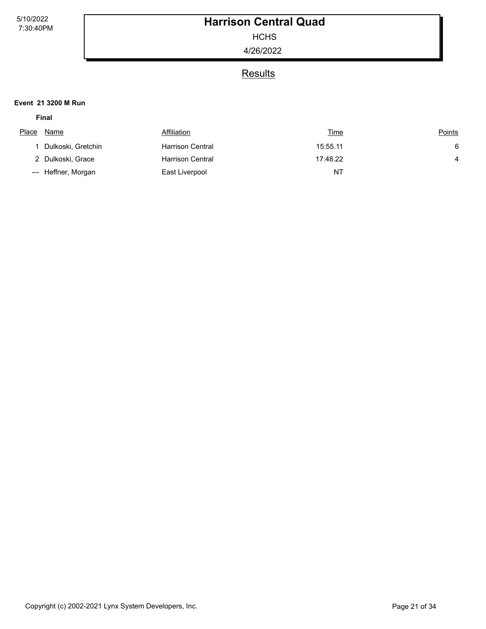**HCHS** 

4/26/2022

## **Results**

#### **Event 21 3200 M Run**

| Place | Name                | Affiliation             | <u>Time</u> | <u>Points</u> |
|-------|---------------------|-------------------------|-------------|---------------|
|       |                     |                         |             |               |
|       | Dulkoski, Gretchin  | <b>Harrison Central</b> | 15:55.11    | 6             |
|       | 2 Dulkoski, Grace   | <b>Harrison Central</b> | 17:48.22    | 4             |
|       | --- Heffner, Morgan | East Liverpool          | ΝT          |               |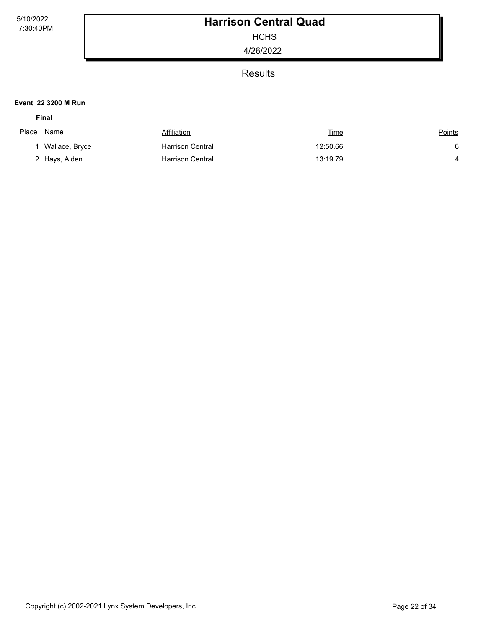**HCHS** 

4/26/2022

## **Results**

#### **Event 22 3200 M Run**

| Place | Name           | Affiliation             | <u>Time</u> | <u>Points</u> |
|-------|----------------|-------------------------|-------------|---------------|
|       | Wallace, Bryce | <b>Harrison Central</b> | 12:50.66    |               |
|       | 2 Hays, Aiden  | <b>Harrison Central</b> | 13:19.79    |               |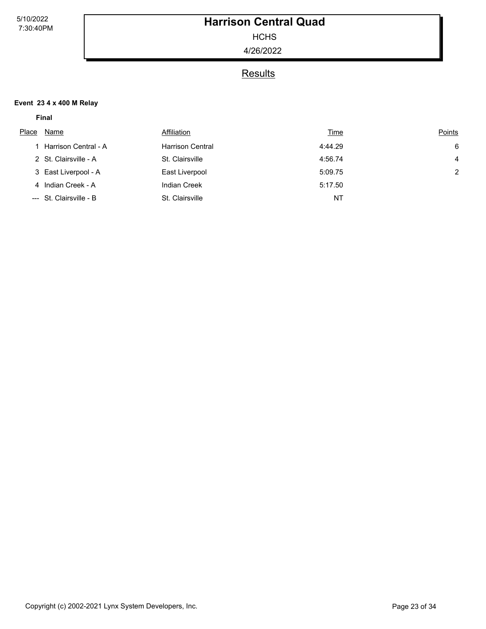**HCHS** 

4/26/2022

### **Results**

#### **Event 23 4 x 400 M Relay**

| Place | Name                    | Affiliation             | <u>Time</u> | Points |
|-------|-------------------------|-------------------------|-------------|--------|
|       | 1 Harrison Central - A  | <b>Harrison Central</b> | 4:44.29     | 6      |
|       | 2 St. Clairsville - A   | St. Clairsville         | 4:56.74     | 4      |
|       | 3 East Liverpool - A    | East Liverpool          | 5:09.75     | 2      |
|       | 4 Indian Creek - A      | <b>Indian Creek</b>     | 5:17.50     |        |
|       | --- St. Clairsville - B | St. Clairsville         | NT          |        |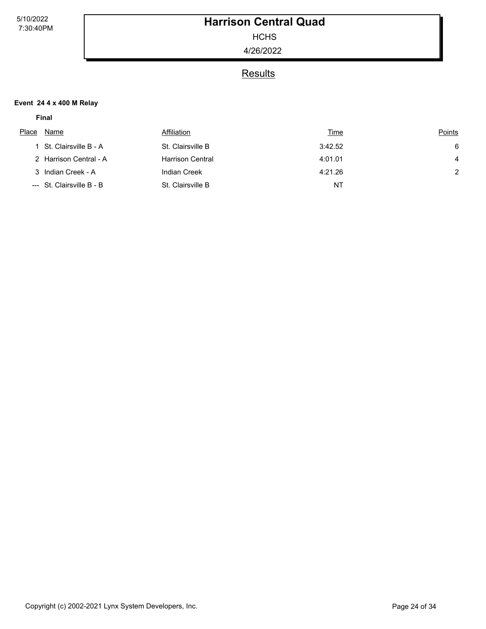**HCHS** 

4/26/2022

### **Results**

#### **Event 24 4 x 400 M Relay**

| Place | Name                      | Affiliation             | <u>Time</u> | Points        |
|-------|---------------------------|-------------------------|-------------|---------------|
|       | 1 St. Clairsville B - A   | St. Clairsville B       | 3:42.52     | 6             |
|       | 2 Harrison Central - A    | <b>Harrison Central</b> | 4:01.01     | 4             |
|       | 3 Indian Creek - A        | <b>Indian Creek</b>     | 4:21.26     | $\mathcal{P}$ |
|       | --- St. Clairsville B - B | St. Clairsville B       | NT          |               |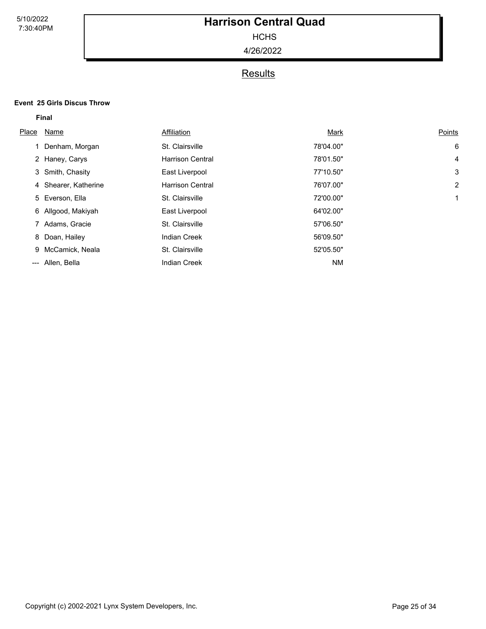**HCHS** 

4/26/2022

## **Results**

#### **Event 25 Girls Discus Throw**

| Place | Name                 | Affiliation             | Mark      | Points |
|-------|----------------------|-------------------------|-----------|--------|
|       | 1 Denham, Morgan     | St. Clairsville         | 78'04.00" | 6      |
|       | 2 Haney, Carys       | <b>Harrison Central</b> | 78'01.50" | 4      |
|       | 3 Smith, Chasity     | East Liverpool          | 77'10.50" | 3      |
|       | 4 Shearer, Katherine | <b>Harrison Central</b> | 76'07.00" | 2      |
|       | 5 Everson, Ella      | St. Clairsville         | 72'00.00" | 1      |
|       | 6 Allgood, Makiyah   | East Liverpool          | 64'02.00" |        |
|       | 7 Adams, Gracie      | St. Clairsville         | 57'06.50" |        |
|       | 8 Doan, Hailey       | <b>Indian Creek</b>     | 56'09.50" |        |
| 9     | McCamick, Neala      | St. Clairsville         | 52'05.50" |        |
| ---   | Allen, Bella         | <b>Indian Creek</b>     | <b>NM</b> |        |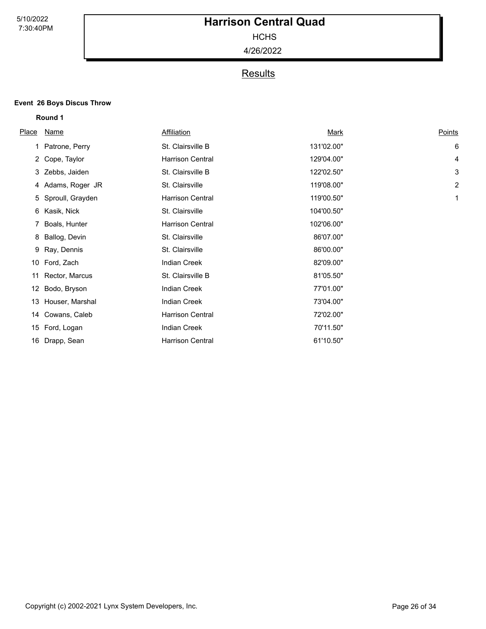**HCHS** 

4/26/2022

## **Results**

#### **Event 26 Boys Discus Throw**

**Round 1**

| <b>Place</b> | <b>Name</b>        | Affiliation             | <u>Mark</u> | Points |
|--------------|--------------------|-------------------------|-------------|--------|
|              | 1 Patrone, Perry   | St. Clairsville B       | 131'02.00"  | 6      |
|              | 2 Cope, Taylor     | <b>Harrison Central</b> | 129'04.00"  | 4      |
|              | 3 Zebbs, Jaiden    | St. Clairsville B       | 122'02.50"  | 3      |
|              | 4 Adams, Roger JR  | St. Clairsville         | 119'08.00"  | 2      |
|              | 5 Sproull, Grayden | <b>Harrison Central</b> | 119'00.50"  | 1      |
| 6            | Kasik, Nick        | St. Clairsville         | 104'00.50"  |        |
|              | 7 Boals, Hunter    | <b>Harrison Central</b> | 102'06.00"  |        |
| 8            | Ballog, Devin      | St. Clairsville         | 86'07.00"   |        |
| 9            | Ray, Dennis        | St. Clairsville         | 86'00.00"   |        |
| 10           | Ford, Zach         | <b>Indian Creek</b>     | 82'09.00"   |        |
| 11           | Rector, Marcus     | St. Clairsville B       | 81'05.50"   |        |
| 12           | Bodo, Bryson       | <b>Indian Creek</b>     | 77'01.00"   |        |
| 13           | Houser, Marshal    | <b>Indian Creek</b>     | 73'04.00"   |        |
| 14           | Cowans, Caleb      | Harrison Central        | 72'02.00"   |        |
| 15           | Ford, Logan        | <b>Indian Creek</b>     | 70'11.50"   |        |
|              | 16 Drapp, Sean     | <b>Harrison Central</b> | 61'10.50"   |        |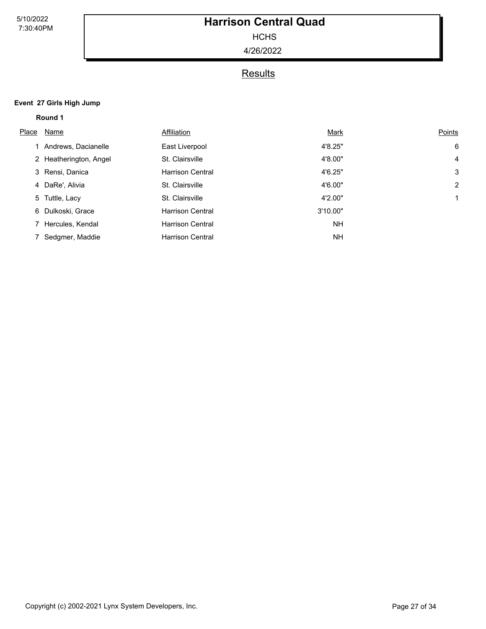**HCHS** 

4/26/2022

## **Results**

#### **Event 27 Girls High Jump**

**Round 1**

| Place | Name                   | Affiliation             | Mark      | Points         |
|-------|------------------------|-------------------------|-----------|----------------|
|       | 1 Andrews, Dacianelle  | East Liverpool          | 4'8.25"   | 6              |
|       | 2 Heatherington, Angel | St. Clairsville         | 4'8.00"   | $\overline{4}$ |
|       | 3 Rensi, Danica        | <b>Harrison Central</b> | 4'6.25"   | 3              |
|       | 4 DaRe', Alivia        | St. Clairsville         | 4'6.00"   | 2              |
|       | 5 Tuttle, Lacy         | St. Clairsville         | 4'2.00"   |                |
|       | 6 Dulkoski, Grace      | <b>Harrison Central</b> | 3'10.00"  |                |
|       | 7 Hercules, Kendal     | <b>Harrison Central</b> | <b>NH</b> |                |
|       | 7 Sedgmer, Maddie      | <b>Harrison Central</b> | <b>NH</b> |                |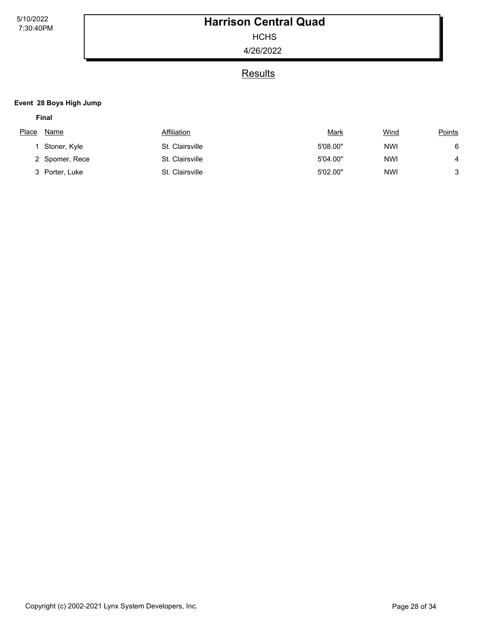**HCHS** 

4/26/2022

### **Results**

#### **Event 28 Boys High Jump**

| ×<br>. . |  |
|----------|--|
|----------|--|

| Place | Name           | Affiliation     | <u>Mark</u> | Wind       | <b>Points</b> |
|-------|----------------|-----------------|-------------|------------|---------------|
|       | Stoner, Kyle   | St. Clairsville | 5'08.00"    | <b>NWI</b> | 6             |
|       | 2 Spomer, Rece | St. Clairsville | 5'04.00"    | <b>NWI</b> |               |
|       | Porter, Luke   | St. Clairsville | 5'02.00"    | <b>NWI</b> | 3             |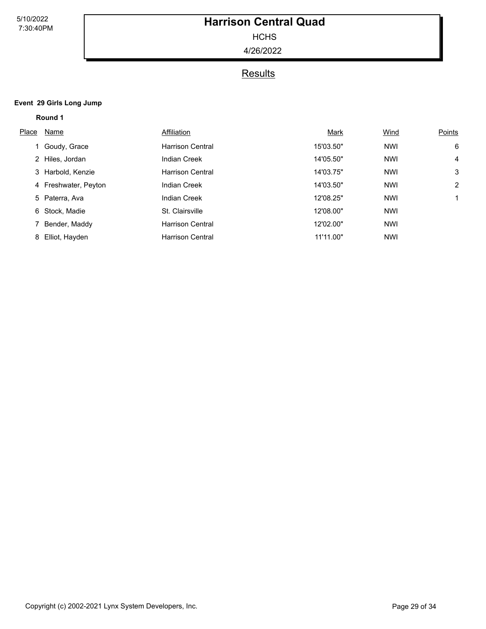**HCHS** 

4/26/2022

## **Results**

#### **Event 29 Girls Long Jump**

**Round 1**

| Place | Name                 | Affiliation             | Mark      | Wind       | Points         |
|-------|----------------------|-------------------------|-----------|------------|----------------|
|       | 1 Goudy, Grace       | <b>Harrison Central</b> | 15'03.50" | <b>NWI</b> | 6              |
|       | 2 Hiles, Jordan      | <b>Indian Creek</b>     | 14'05.50" | <b>NWI</b> | $\overline{4}$ |
|       | 3 Harbold, Kenzie    | <b>Harrison Central</b> | 14'03.75" | <b>NWI</b> | 3              |
|       | 4 Freshwater, Peyton | <b>Indian Creek</b>     | 14'03.50" | <b>NWI</b> | 2              |
|       | 5 Paterra, Ava       | <b>Indian Creek</b>     | 12'08.25" | <b>NWI</b> | $\mathbf 1$    |
|       | 6 Stock, Madie       | St. Clairsville         | 12'08.00" | <b>NWI</b> |                |
|       | 7 Bender, Maddy      | <b>Harrison Central</b> | 12'02.00" | <b>NWI</b> |                |
|       | 8 Elliot, Hayden     | <b>Harrison Central</b> | 11'11.00" | <b>NWI</b> |                |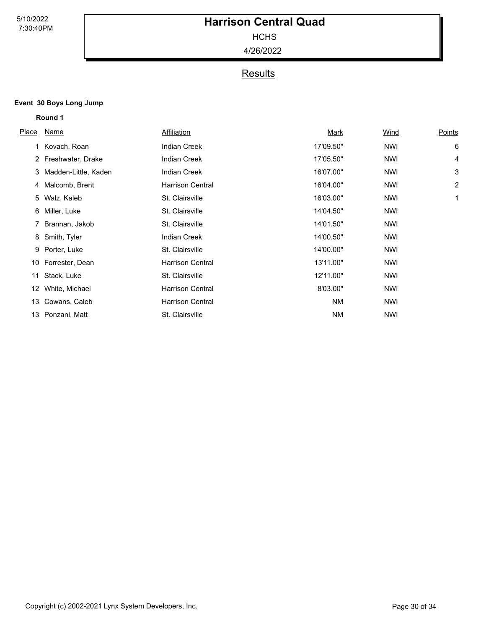**HCHS** 

4/26/2022

## **Results**

#### **Event 30 Boys Long Jump**

|              | Round 1              |                         |             |             |                |
|--------------|----------------------|-------------------------|-------------|-------------|----------------|
| <b>Place</b> | Name                 | Affiliation             | <u>Mark</u> | <u>Wind</u> | <b>Points</b>  |
|              | Kovach, Roan         | <b>Indian Creek</b>     | 17'09.50"   | <b>NWI</b>  | 6              |
|              | 2 Freshwater, Drake  | <b>Indian Creek</b>     | 17'05.50"   | <b>NWI</b>  | 4              |
| 3            | Madden-Little, Kaden | <b>Indian Creek</b>     | 16'07.00"   | NWI         | 3              |
| 4            | Malcomb, Brent       | <b>Harrison Central</b> | 16'04.00"   | <b>NWI</b>  | $\overline{2}$ |
| 5            | Walz, Kaleb          | St. Clairsville         | 16'03.00"   | <b>NWI</b>  | 1              |
| 6            | Miller, Luke         | St. Clairsville         | 14'04.50"   | <b>NWI</b>  |                |
| 7            | Brannan, Jakob       | St. Clairsville         | 14'01.50"   | <b>NWI</b>  |                |
| 8            | Smith, Tyler         | <b>Indian Creek</b>     | 14'00.50"   | <b>NWI</b>  |                |
| 9            | Porter, Luke         | St. Clairsville         | 14'00.00"   | <b>NWI</b>  |                |
| 10           | Forrester, Dean      | <b>Harrison Central</b> | 13'11.00"   | <b>NWI</b>  |                |
| 11           | Stack, Luke          | St. Clairsville         | 12'11.00"   | <b>NWI</b>  |                |
| 12           | White, Michael       | <b>Harrison Central</b> | 8'03.00"    | <b>NWI</b>  |                |
| 13           | Cowans, Caleb        | <b>Harrison Central</b> | <b>NM</b>   | <b>NWI</b>  |                |
| 13           | Ponzani, Matt        | St. Clairsville         | <b>NM</b>   | <b>NWI</b>  |                |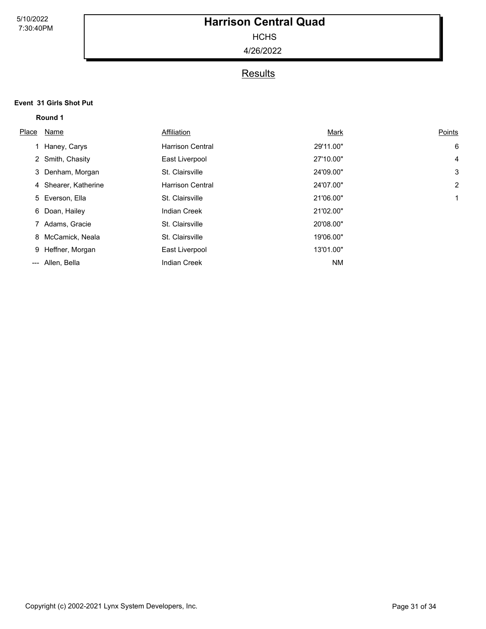**HCHS** 

4/26/2022

## **Results**

### **Event 31 Girls Shot Put Round 1**

| Place | Name                 | Affiliation             | Mark      | Points         |
|-------|----------------------|-------------------------|-----------|----------------|
|       | 1 Haney, Carys       | <b>Harrison Central</b> | 29'11.00" | 6              |
|       | 2 Smith, Chasity     | East Liverpool          | 27'10.00" | $\overline{4}$ |
|       | 3 Denham, Morgan     | St. Clairsville         | 24'09.00" | 3              |
|       | 4 Shearer, Katherine | <b>Harrison Central</b> | 24'07.00" | 2              |
|       | 5 Everson, Ella      | St. Clairsville         | 21'06.00" | 1              |
|       | 6 Doan, Hailey       | <b>Indian Creek</b>     | 21'02.00" |                |
|       | 7 Adams, Gracie      | St. Clairsville         | 20'08.00" |                |
|       | 8 McCamick, Neala    | St. Clairsville         | 19'06.00" |                |
|       | 9 Heffner, Morgan    | East Liverpool          | 13'01.00" |                |
|       | --- Allen, Bella     | <b>Indian Creek</b>     | <b>NM</b> |                |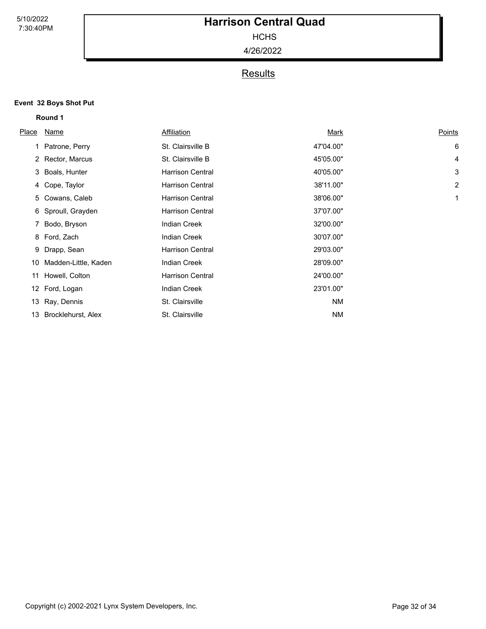**HCHS** 

4/26/2022

## **Results**

### **Event 32 Boys Shot Put Round 1**

| <u>Place</u> | Name                 | Affiliation             | <u>Mark</u> | Points |
|--------------|----------------------|-------------------------|-------------|--------|
|              | 1 Patrone, Perry     | St. Clairsville B       | 47'04.00"   | 6      |
|              | 2 Rector, Marcus     | St. Clairsville B       | 45'05.00"   | 4      |
|              | 3 Boals, Hunter      | <b>Harrison Central</b> | 40'05.00"   | 3      |
|              | 4 Cope, Taylor       | <b>Harrison Central</b> | 38'11.00"   | 2      |
| 5            | Cowans, Caleb        | <b>Harrison Central</b> | 38'06.00"   | 1      |
|              | 6 Sproull, Grayden   | <b>Harrison Central</b> | 37'07.00"   |        |
|              | 7 Bodo, Bryson       | <b>Indian Creek</b>     | 32'00.00"   |        |
|              | 8 Ford, Zach         | <b>Indian Creek</b>     | 30'07.00"   |        |
| 9            | Drapp, Sean          | <b>Harrison Central</b> | 29'03.00"   |        |
| 10           | Madden-Little, Kaden | <b>Indian Creek</b>     | 28'09.00"   |        |
| 11           | Howell, Colton       | <b>Harrison Central</b> | 24'00.00"   |        |
| 12           | Ford, Logan          | <b>Indian Creek</b>     | 23'01.00"   |        |
| 13           | Ray, Dennis          | St. Clairsville         | <b>NM</b>   |        |
| 13           | Brocklehurst, Alex   | St. Clairsville         | ΝM          |        |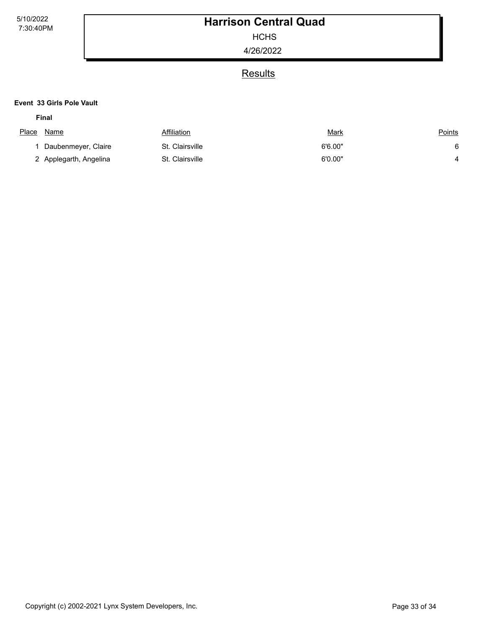**HCHS** 

4/26/2022

### **Results**

#### **Event 33 Girls Pole Vault**

| Place | Name                   | Affiliation     | <u>Mark</u> | <b>Points</b> |
|-------|------------------------|-----------------|-------------|---------------|
|       | Daubenmeyer, Claire    | St. Clairsville | 6'6.00"     |               |
|       | 2 Applegarth, Angelina | St. Clairsville | 6'0.00"     |               |